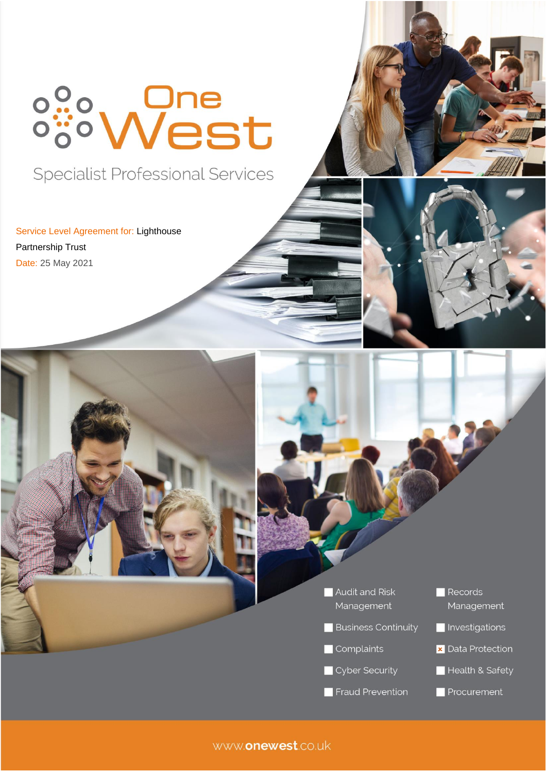# <sup>o</sup><sup>9</sup>°West

**Specialist Professional Services** 

Service Level Agreement for: Lighthouse Partnership Trust Date: 25 May 2021





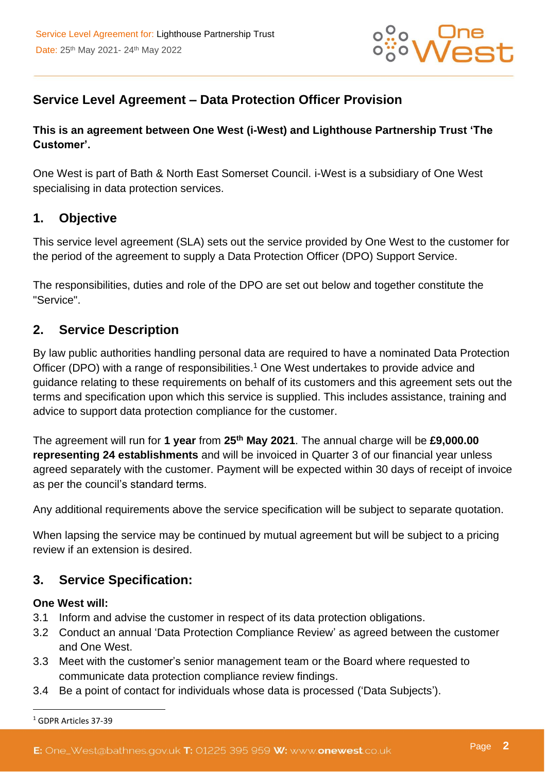

# **Service Level Agreement – Data Protection Officer Provision**

#### **This is an agreement between One West (i-West) and Lighthouse Partnership Trust 'The Customer'.**

One West is part of Bath & North East Somerset Council. i-West is a subsidiary of One West specialising in data protection services.

#### **1. Objective**

This service level agreement (SLA) sets out the service provided by One West to the customer for the period of the agreement to supply a Data Protection Officer (DPO) Support Service.

The responsibilities, duties and role of the DPO are set out below and together constitute the "Service".

#### **2. Service Description**

By law public authorities handling personal data are required to have a nominated Data Protection Officer (DPO) with a range of responsibilities.<sup>1</sup> One West undertakes to provide advice and guidance relating to these requirements on behalf of its customers and this agreement sets out the terms and specification upon which this service is supplied. This includes assistance, training and advice to support data protection compliance for the customer.

The agreement will run for **1 year** from **25th May 2021**. The annual charge will be **£9,000.00 representing 24 establishments** and will be invoiced in Quarter 3 of our financial year unless agreed separately with the customer. Payment will be expected within 30 days of receipt of invoice as per the council's standard terms.

Any additional requirements above the service specification will be subject to separate quotation.

When lapsing the service may be continued by mutual agreement but will be subject to a pricing review if an extension is desired.

#### **3. Service Specification:**

#### **One West will:**

- 3.1 Inform and advise the customer in respect of its data protection obligations.
- 3.2 Conduct an annual 'Data Protection Compliance Review' as agreed between the customer and One West.
- 3.3 Meet with the customer's senior management team or the Board where requested to communicate data protection compliance review findings.
- 3.4 Be a point of contact for individuals whose data is processed ('Data Subjects').

<sup>1</sup> GDPR Articles 37-39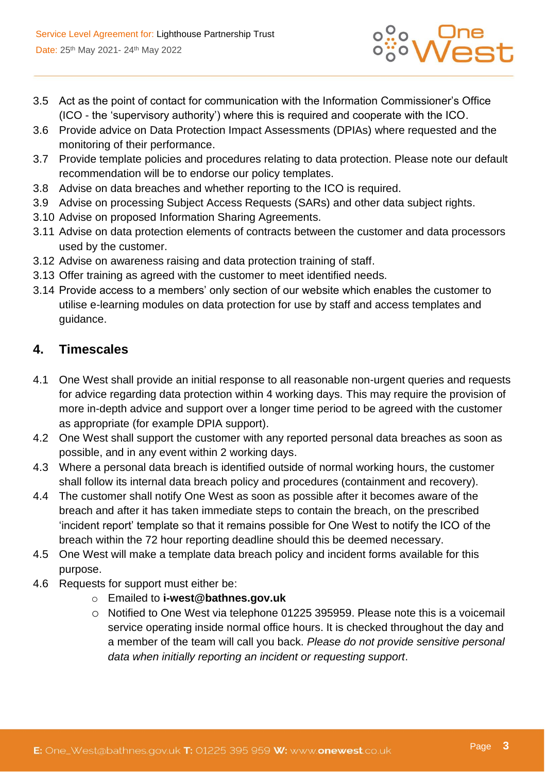

- 3.5 Act as the point of contact for communication with the Information Commissioner's Office (ICO - the 'supervisory authority') where this is required and cooperate with the ICO.
- 3.6 Provide advice on Data Protection Impact Assessments (DPIAs) where requested and the monitoring of their performance.
- 3.7 Provide template policies and procedures relating to data protection. Please note our default recommendation will be to endorse our policy templates.
- 3.8 Advise on data breaches and whether reporting to the ICO is required.
- 3.9 Advise on processing Subject Access Requests (SARs) and other data subject rights.
- 3.10 Advise on proposed Information Sharing Agreements.
- 3.11 Advise on data protection elements of contracts between the customer and data processors used by the customer.
- 3.12 Advise on awareness raising and data protection training of staff.
- 3.13 Offer training as agreed with the customer to meet identified needs.
- 3.14 Provide access to a members' only section of our website which enables the customer to utilise e-learning modules on data protection for use by staff and access templates and guidance.

#### **4. Timescales**

- 4.1 One West shall provide an initial response to all reasonable non-urgent queries and requests for advice regarding data protection within 4 working days. This may require the provision of more in-depth advice and support over a longer time period to be agreed with the customer as appropriate (for example DPIA support).
- 4.2 One West shall support the customer with any reported personal data breaches as soon as possible, and in any event within 2 working days.
- 4.3 Where a personal data breach is identified outside of normal working hours, the customer shall follow its internal data breach policy and procedures (containment and recovery).
- 4.4 The customer shall notify One West as soon as possible after it becomes aware of the breach and after it has taken immediate steps to contain the breach, on the prescribed 'incident report' template so that it remains possible for One West to notify the ICO of the breach within the 72 hour reporting deadline should this be deemed necessary.
- 4.5 One West will make a template data breach policy and incident forms available for this purpose.
- 4.6 Requests for support must either be:
	- o Emailed to **i-west@bathnes.gov.uk**
	- o Notified to One West via telephone 01225 395959. Please note this is a voicemail service operating inside normal office hours. It is checked throughout the day and a member of the team will call you back. *Please do not provide sensitive personal data when initially reporting an incident or requesting support*.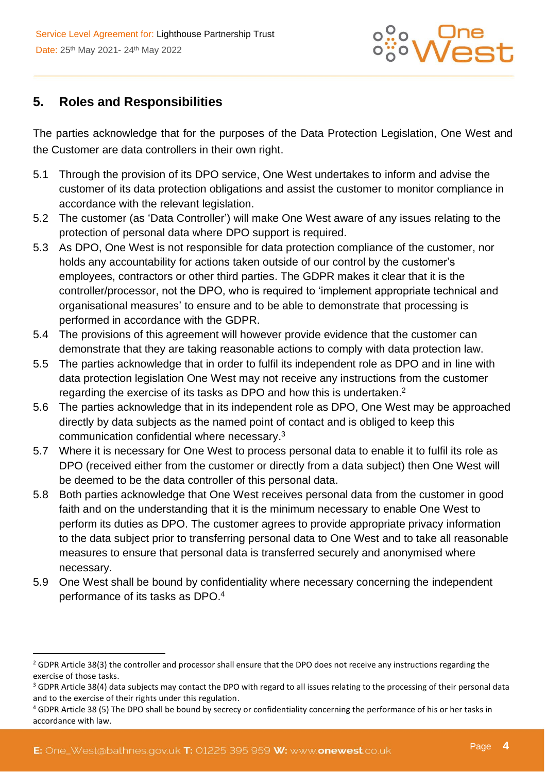

## **5. Roles and Responsibilities**

The parties acknowledge that for the purposes of the Data Protection Legislation, One West and the Customer are data controllers in their own right.

- 5.1 Through the provision of its DPO service, One West undertakes to inform and advise the customer of its data protection obligations and assist the customer to monitor compliance in accordance with the relevant legislation.
- 5.2 The customer (as 'Data Controller') will make One West aware of any issues relating to the protection of personal data where DPO support is required.
- 5.3 As DPO, One West is not responsible for data protection compliance of the customer, nor holds any accountability for actions taken outside of our control by the customer's employees, contractors or other third parties. The GDPR makes it clear that it is the controller/processor, not the DPO, who is required to 'implement appropriate technical and organisational measures' to ensure and to be able to demonstrate that processing is performed in accordance with the GDPR.
- 5.4 The provisions of this agreement will however provide evidence that the customer can demonstrate that they are taking reasonable actions to comply with data protection law.
- 5.5 The parties acknowledge that in order to fulfil its independent role as DPO and in line with data protection legislation One West may not receive any instructions from the customer regarding the exercise of its tasks as DPO and how this is undertaken.<sup>2</sup>
- 5.6 The parties acknowledge that in its independent role as DPO, One West may be approached directly by data subjects as the named point of contact and is obliged to keep this communication confidential where necessary. 3
- 5.7 Where it is necessary for One West to process personal data to enable it to fulfil its role as DPO (received either from the customer or directly from a data subject) then One West will be deemed to be the data controller of this personal data.
- 5.8 Both parties acknowledge that One West receives personal data from the customer in good faith and on the understanding that it is the minimum necessary to enable One West to perform its duties as DPO. The customer agrees to provide appropriate privacy information to the data subject prior to transferring personal data to One West and to take all reasonable measures to ensure that personal data is transferred securely and anonymised where necessary.
- 5.9 One West shall be bound by confidentiality where necessary concerning the independent performance of its tasks as DPO. 4

<sup>&</sup>lt;sup>2</sup> GDPR Article 38(3) the controller and processor shall ensure that the DPO does not receive any instructions regarding the exercise of those tasks.

<sup>&</sup>lt;sup>3</sup> GDPR Article 38(4) data subjects may contact the DPO with regard to all issues relating to the processing of their personal data and to the exercise of their rights under this regulation.

<sup>4</sup> GDPR Article 38 (5) The DPO shall be bound by secrecy or confidentiality concerning the performance of his or her tasks in accordance with law.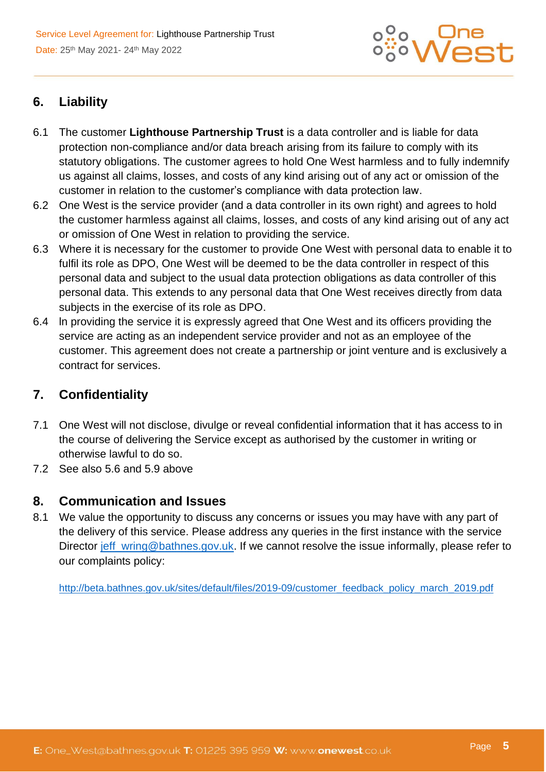

# **6. Liability**

- 6.1 The customer **Lighthouse Partnership Trust** is a data controller and is liable for data protection non-compliance and/or data breach arising from its failure to comply with its statutory obligations. The customer agrees to hold One West harmless and to fully indemnify us against all claims, losses, and costs of any kind arising out of any act or omission of the customer in relation to the customer's compliance with data protection law.
- 6.2 One West is the service provider (and a data controller in its own right) and agrees to hold the customer harmless against all claims, losses, and costs of any kind arising out of any act or omission of One West in relation to providing the service.
- 6.3 Where it is necessary for the customer to provide One West with personal data to enable it to fulfil its role as DPO, One West will be deemed to be the data controller in respect of this personal data and subject to the usual data protection obligations as data controller of this personal data. This extends to any personal data that One West receives directly from data subjects in the exercise of its role as DPO.
- 6.4 ln providing the service it is expressly agreed that One West and its officers providing the service are acting as an independent service provider and not as an employee of the customer. This agreement does not create a partnership or joint venture and is exclusively a contract for services.

# **7. Confidentiality**

- 7.1 One West will not disclose, divulge or reveal confidential information that it has access to in the course of delivering the Service except as authorised by the customer in writing or otherwise lawful to do so.
- 7.2 See also 5.6 and 5.9 above

#### **8. Communication and Issues**

8.1 We value the opportunity to discuss any concerns or issues you may have with any part of the delivery of this service. Please address any queries in the first instance with the service Director [jeff\\_wring@bathnes.gov.uk.](mailto:jeff_wring@bathnes.gov.uk) If we cannot resolve the issue informally, please refer to our complaints policy:

[http://beta.bathnes.gov.uk/sites/default/files/2019-09/customer\\_feedback\\_policy\\_march\\_2019.pdf](http://beta.bathnes.gov.uk/sites/default/files/2019-09/customer_feedback_policy_march_2019.pdf)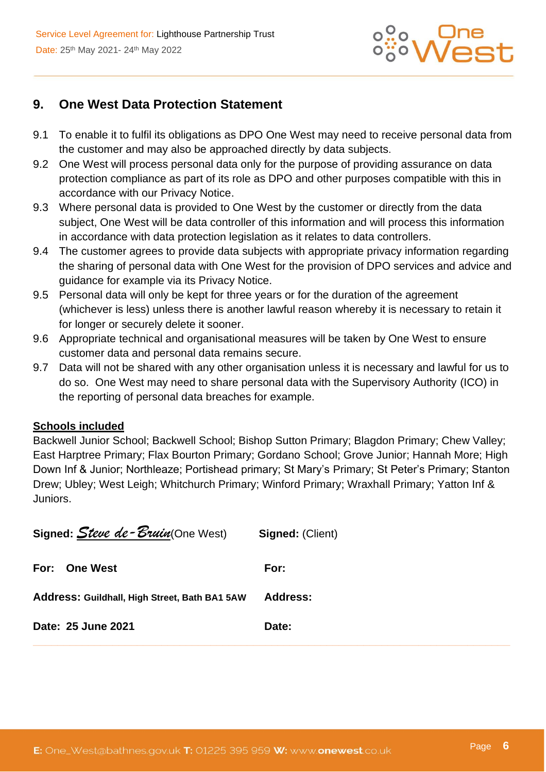

## **9. One West Data Protection Statement**

- 9.1 To enable it to fulfil its obligations as DPO One West may need to receive personal data from the customer and may also be approached directly by data subjects.
- 9.2 One West will process personal data only for the purpose of providing assurance on data protection compliance as part of its role as DPO and other purposes compatible with this in accordance with our Privacy Notice.
- 9.3 Where personal data is provided to One West by the customer or directly from the data subject, One West will be data controller of this information and will process this information in accordance with data protection legislation as it relates to data controllers.
- 9.4 The customer agrees to provide data subjects with appropriate privacy information regarding the sharing of personal data with One West for the provision of DPO services and advice and guidance for example via its Privacy Notice.
- 9.5 Personal data will only be kept for three years or for the duration of the agreement (whichever is less) unless there is another lawful reason whereby it is necessary to retain it for longer or securely delete it sooner.
- 9.6 Appropriate technical and organisational measures will be taken by One West to ensure customer data and personal data remains secure.
- 9.7 Data will not be shared with any other organisation unless it is necessary and lawful for us to do so. One West may need to share personal data with the Supervisory Authority (ICO) in the reporting of personal data breaches for example.

#### **Schools included**

Backwell Junior School; Backwell School; Bishop Sutton Primary; Blagdon Primary; Chew Valley; East Harptree Primary; Flax Bourton Primary; Gordano School; Grove Junior; Hannah More; High Down Inf & Junior; Northleaze; Portishead primary; St Mary's Primary; St Peter's Primary; Stanton Drew; Ubley; West Leigh; Whitchurch Primary; Winford Primary; Wraxhall Primary; Yatton Inf & Juniors.

| Signed: Steve de-Bruin(One West)              | <b>Signed: (Client)</b> |
|-----------------------------------------------|-------------------------|
| For: One West                                 | For:                    |
| Address: Guildhall, High Street, Bath BA1 5AW | <b>Address:</b>         |
| Date: 25 June 2021                            | Date:                   |